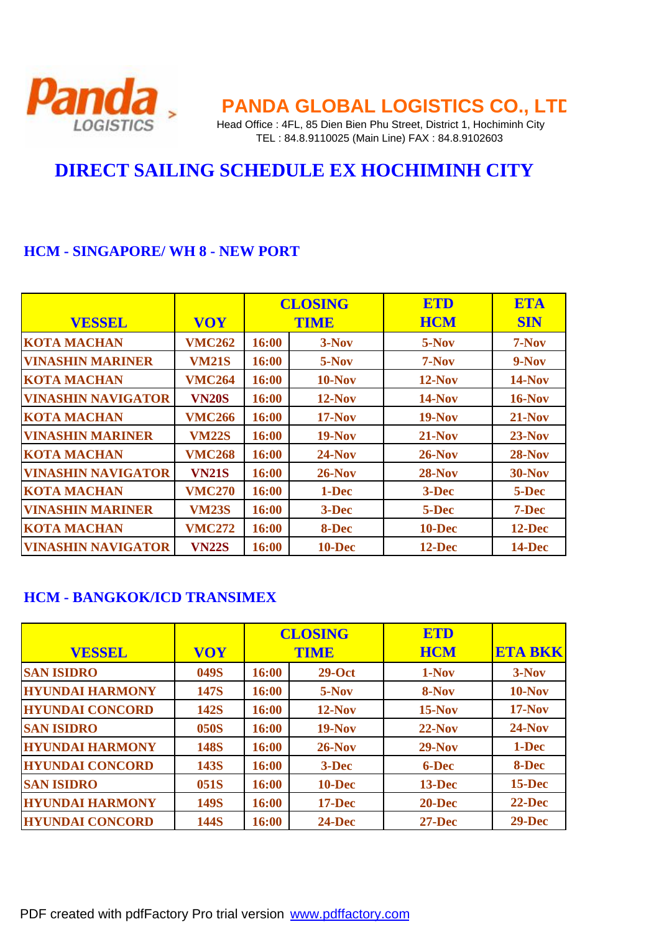

## **Panda** PANDA GLOBAL LOGISTICS CO., LTD

LOGISTICS Head Office : 4FL, 85 Dien Bien Phu Street, District 1, Hochiminh City TEL : 84.8.9110025 (Main Line) FAX : 84.8.9102603

### **DIRECT SAILING SCHEDULE EX HOCHIMINH CITY**

#### **HCM - SINGAPORE/ WH 8 - NEW PORT**

|                           |               | <b>CLOSING</b> |               | <b>ETD</b>    | <b>ETA</b> |
|---------------------------|---------------|----------------|---------------|---------------|------------|
| <b>VESSEL</b>             | <b>VOY</b>    | <b>TIME</b>    |               | <b>HCM</b>    | <b>SIN</b> |
| <b>KOTA MACHAN</b>        | <b>VMC262</b> | 16:00          | 3-Nov         | 5-Nov         | 7-Nov      |
| <b>VINASHIN MARINER</b>   | <b>VM21S</b>  | 16:00          | $5-Nov$       | $7-Nov$       | $9-Nov$    |
| <b>KOTA MACHAN</b>        | <b>VMC264</b> | 16:00          | $10-Nov$      | $12-Nov$      | $14-Nov$   |
| <b>VINASHIN NAVIGATOR</b> | <b>VN20S</b>  | 16:00          | $12-Nov$      | $14-Nov$      | $16$ -Nov  |
| <b>KOTA MACHAN</b>        | <b>VMC266</b> | 16:00          | $17-Nov$      | $19-Nov$      | $21-Nov$   |
| <b>VINASHIN MARINER</b>   | <b>VM22S</b>  | 16:00          | <b>19-Nov</b> | $21-Nov$      | $23-Nov$   |
| <b>KOTA MACHAN</b>        | <b>VMC268</b> | 16:00          | $24-Nov$      | $26$ -Nov     | $28-Nov$   |
| <b>VINASHIN NAVIGATOR</b> | <b>VN21S</b>  | 16:00          | $26-Nov$      | $28-Nov$      | $30-Nov$   |
| <b>KOTA MACHAN</b>        | <b>VMC270</b> | 16:00          | 1-Dec         | 3-Dec         | 5-Dec      |
| <b>VINASHIN MARINER</b>   | <b>VM23S</b>  | 16:00          | $3 - Dec$     | 5-Dec         | 7-Dec      |
| <b>KOTA MACHAN</b>        | <b>VMC272</b> | 16:00          | 8-Dec         | <b>10-Dec</b> | 12-Dec     |
| <b>VINASHIN NAVIGATOR</b> | <b>VN22S</b>  | 16:00          | $10 - Dec$    | $12$ -Dec     | 14-Dec     |

#### **HCM - BANGKOK/ICD TRANSIMEX**

|                        |             | <b>CLOSING</b> |             | <b>ETD</b> |                |
|------------------------|-------------|----------------|-------------|------------|----------------|
| <b>VESSEL</b>          | <b>VOY</b>  |                | <b>TIME</b> | <b>HCM</b> | <b>ETA BKK</b> |
| <b>SAN ISIDRO</b>      | 049S        | 16:00          | $29-Oct$    | 1-Nov      | $3-Nov$        |
| <b>HYUNDAI HARMONY</b> | <b>147S</b> | 16:00          | 5-Nov       | 8-Nov      | $10-Nov$       |
| <b>HYUNDAI CONCORD</b> | <b>142S</b> | 16:00          | $12-Nov$    | $15-Nov$   | $17-Nov$       |
| <b>SAN ISIDRO</b>      | <b>050S</b> | 16:00          | $19-Nov$    | $22-Nov$   | $24-Nov$       |
| <b>HYUNDAI HARMONY</b> | <b>148S</b> | 16:00          | $26-Nov$    | $29-Nov$   | 1-Dec          |
| <b>HYUNDAI CONCORD</b> | 143S        | 16:00          | 3-Dec       | 6-Dec      | 8-Dec          |
| <b>SAN ISIDRO</b>      | 051S        | 16:00          | 10-Dec      | $13 - Dec$ | $15$ -Dec      |
| <b>HYUNDAI HARMONY</b> | <b>149S</b> | 16:00          | $17 - Dec$  | $20 - Dec$ | $22 - Dec$     |
| <b>HYUNDAI CONCORD</b> | <b>144S</b> | 16:00          | $24$ -Dec   | $27 - Dec$ | $29-Dec$       |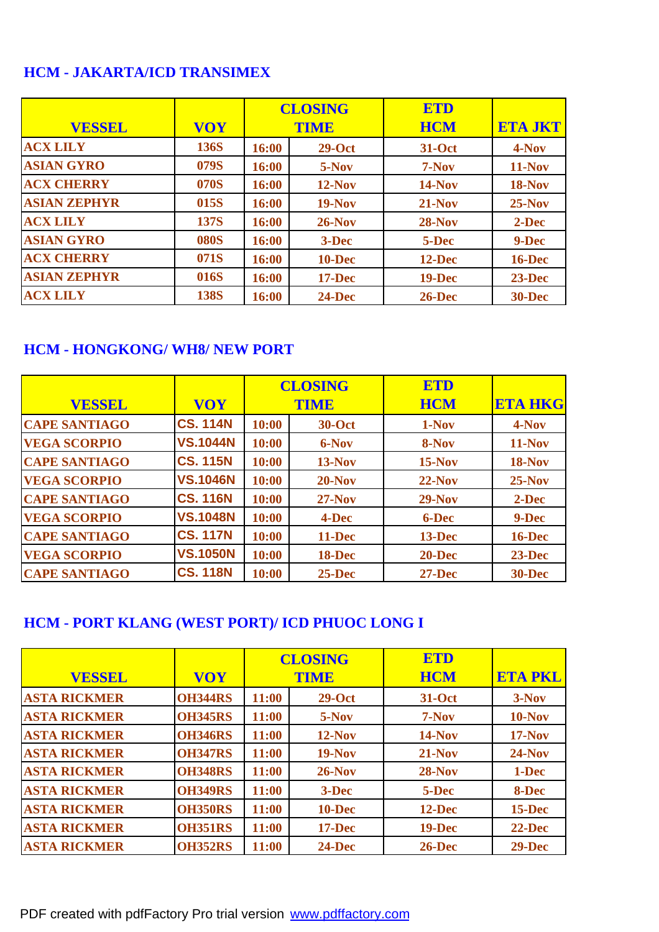#### **HCM - JAKARTA/ICD TRANSIMEX**

|                     |             | <b>CLOSING</b> |             | ETD           |                |
|---------------------|-------------|----------------|-------------|---------------|----------------|
| <b>VESSEL</b>       | <b>VOY</b>  |                | <b>TIME</b> | <b>HCM</b>    | <b>ETA JKT</b> |
| <b>ACX LILY</b>     | 136S        | 16:00          | $29-Oct$    | 31-Oct        | 4-Nov          |
| <b>ASIAN GYRO</b>   | 079S        | 16:00          | $5-Nov$     | $7-Nov$       | $11-Nov$       |
| <b>ACX CHERRY</b>   | 070S        | 16:00          | $12-Nov$    | <b>14-Nov</b> | <b>18-Nov</b>  |
| <b>ASIAN ZEPHYR</b> | 015S        | 16:00          | $19-Nov$    | $21-Nov$      | $25-Nov$       |
| <b>ACX LILY</b>     | <b>137S</b> | 16:00          | $26-Nov$    | $28-Nov$      | 2-Dec          |
| <b>ASIAN GYRO</b>   | <b>080S</b> | 16:00          | 3-Dec       | 5-Dec         | 9-Dec          |
| <b>ACX CHERRY</b>   | 071S        | 16:00          | 10-Dec      | 12-Dec        | <b>16-Dec</b>  |
| <b>ASIAN ZEPHYR</b> | 016S        | 16:00          | $17 - Dec$  | <b>19-Dec</b> | $23 - Dec$     |
| <b>ACX LILY</b>     | <b>138S</b> | 16:00          | $24 - Dec$  | $26$ -Dec     | <b>30-Dec</b>  |

#### **HCM - HONGKONG/ WH8/ NEW PORT**

|                      |                 | <b>CLOSING</b> |               | <b>ETD</b> |                |
|----------------------|-----------------|----------------|---------------|------------|----------------|
| <b>VESSEL</b>        | <b>VOY</b>      |                | <b>TIME</b>   | <b>HCM</b> | <b>ETA HKG</b> |
| <b>CAPE SANTIAGO</b> | <b>CS. 114N</b> | 10:00          | <b>30-Oct</b> | 1-Nov      | 4-Nov          |
| <b>VEGA SCORPIO</b>  | <b>VS.1044N</b> | 10:00          | 6-Nov         | 8-Nov      | $11-Nov$       |
| <b>CAPE SANTIAGO</b> | <b>CS. 115N</b> | 10:00          | $13-Nov$      | $15-Nov$   | <b>18-Nov</b>  |
| <b>VEGA SCORPIO</b>  | <b>VS.1046N</b> | 10:00          | $20-Nov$      | $22-Nov$   | $25-Nov$       |
| <b>CAPE SANTIAGO</b> | <b>CS. 116N</b> | 10:00          | $27-Nov$      | $29-Nov$   | 2-Dec          |
| <b>VEGA SCORPIO</b>  | <b>VS.1048N</b> | 10:00          | 4-Dec         | 6-Dec      | 9-Dec          |
| <b>CAPE SANTIAGO</b> | <b>CS. 117N</b> | 10:00          | 11-Dec        | $13 - Dec$ | <b>16-Dec</b>  |
| <b>VEGA SCORPIO</b>  | <b>VS.1050N</b> | 10:00          | 18-Dec        | $20 - Dec$ | $23 - Dec$     |
| <b>CAPE SANTIAGO</b> | <b>CS. 118N</b> | 10:00          | $25 - Dec$    | $27 - Dec$ | <b>30-Dec</b>  |

#### **HCM - PORT KLANG (WEST PORT)/ ICD PHUOC LONG I**

|                     |                | <b>CLOSING</b> |             | <b>ETD</b>    |                |
|---------------------|----------------|----------------|-------------|---------------|----------------|
| <b>VESSEL</b>       | <b>VOY</b>     |                | <b>TIME</b> | <b>HCM</b>    | <b>ETA PKL</b> |
| <b>ASTA RICKMER</b> | <b>OH344RS</b> | 11:00          | $29-Oct$    | <b>31-Oct</b> | $3-Nov$        |
| <b>ASTA RICKMER</b> | <b>OH345RS</b> | 11:00          | $5-Nov$     | $7-Nov$       | $10-Nov$       |
| <b>ASTA RICKMER</b> | <b>OH346RS</b> | 11:00          | $12-Nov$    | <b>14-Nov</b> | $17-Nov$       |
| <b>ASTA RICKMER</b> | <b>OH347RS</b> | 11:00          | $19-Nov$    | $21-Nov$      | $24-Nov$       |
| <b>ASTA RICKMER</b> | <b>OH348RS</b> | 11:00          | $26-Nov$    | <b>28-Nov</b> | 1-Dec          |
| <b>ASTA RICKMER</b> | <b>OH349RS</b> | 11:00          | 3-Dec       | 5-Dec         | 8-Dec          |
| <b>ASTA RICKMER</b> | <b>OH350RS</b> | 11:00          | 10-Dec      | $12 - Dec$    | $15$ -Dec      |
| <b>ASTA RICKMER</b> | <b>OH351RS</b> | 11:00          | $17 - Dec$  | <b>19-Dec</b> | $22 - Dec$     |
| <b>ASTA RICKMER</b> | <b>OH352RS</b> | 11:00          | $24 - Dec$  | $26$ -Dec     | $29-Dec$       |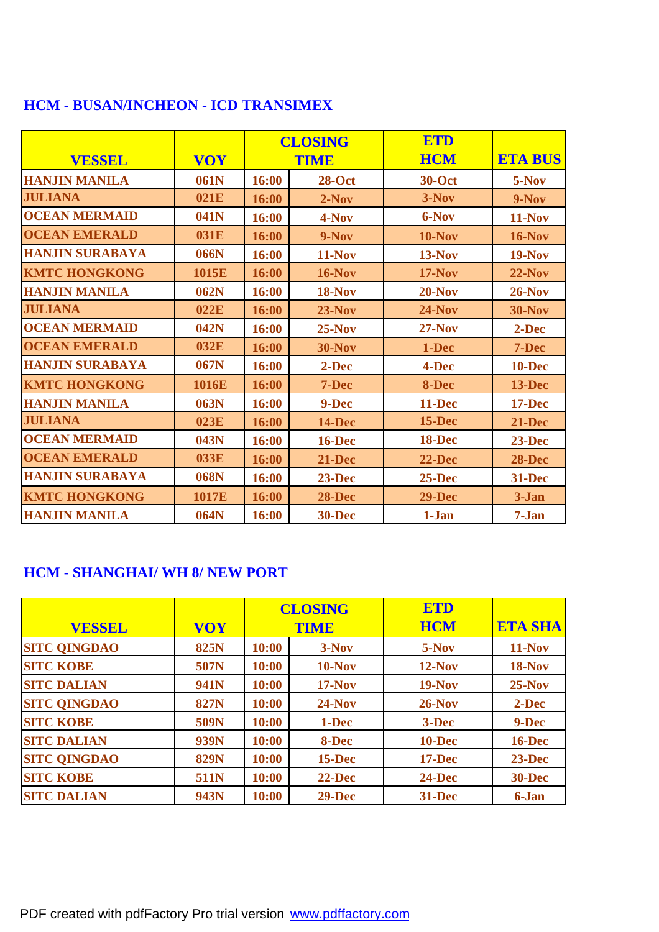|                        |            |       | <b>CLOSING</b> | <b>ETD</b>    |                |
|------------------------|------------|-------|----------------|---------------|----------------|
| <b>VESSEL</b>          | <b>VOY</b> |       | <b>TIME</b>    | <b>HCM</b>    | <b>ETA BUS</b> |
| <b>HANJIN MANILA</b>   | 061N       | 16:00 | $28-Oct$       | <b>30-Oct</b> | 5-Nov          |
| <b>JULIANA</b>         | 021E       | 16:00 | $2-Nov$        | $3-Nov$       | $9-Nov$        |
| <b>OCEAN MERMAID</b>   | 041N       | 16:00 | 4-Nov          | 6-Nov         | $11-Nov$       |
| <b>OCEAN EMERALD</b>   | 031E       | 16:00 | $9-Nov$        | $10-Nov$      | $16-Nov$       |
| <b>HANJIN SURABAYA</b> | 066N       | 16:00 | $11-Nov$       | <b>13-Nov</b> | $19-Nov$       |
| <b>KMTC HONGKONG</b>   | 1015E      | 16:00 | <b>16-Nov</b>  | $17-Nov$      | $22-Nov$       |
| <b>HANJIN MANILA</b>   | 062N       | 16:00 | <b>18-Nov</b>  | $20-Nov$      | $26-Nov$       |
| <b>JULIANA</b>         | 022E       | 16:00 | $23-Nov$       | $24-Nov$      | <b>30-Nov</b>  |
| <b>OCEAN MERMAID</b>   | 042N       | 16:00 | $25-Nov$       | $27-Nov$      | 2-Dec          |
| <b>OCEAN EMERALD</b>   | 032E       | 16:00 | <b>30-Nov</b>  | 1-Dec         | 7-Dec          |
| <b>HANJIN SURABAYA</b> | 067N       | 16:00 | 2-Dec          | 4-Dec         | <b>10-Dec</b>  |
| <b>KMTC HONGKONG</b>   | 1016E      | 16:00 | 7-Dec          | 8-Dec         | 13-Dec         |
| <b>HANJIN MANILA</b>   | 063N       | 16:00 | 9-Dec          | 11-Dec        | $17 - Dec$     |
| <b>JULIANA</b>         | 023E       | 16:00 | <b>14-Dec</b>  | $15$ -Dec     | $21 - Dec$     |
| <b>OCEAN MERMAID</b>   | 043N       | 16:00 | <b>16-Dec</b>  | 18-Dec        | $23-Dec$       |
| <b>OCEAN EMERALD</b>   | 033E       | 16:00 | 21-Dec         | $22 - Dec$    | <b>28-Dec</b>  |
| <b>HANJIN SURABAYA</b> | 068N       | 16:00 | $23-Dec$       | $25$ -Dec     | 31-Dec         |
| <b>KMTC HONGKONG</b>   | 1017E      | 16:00 | <b>28-Dec</b>  | $29 - Dec$    | 3-Jan          |
| <b>HANJIN MANILA</b>   | 064N       | 16:00 | <b>30-Dec</b>  | 1-Jan         | 7-Jan          |

#### **HCM - BUSAN/INCHEON - ICD TRANSIMEX**

#### **HCM - SHANGHAI/ WH 8/ NEW PORT**

| <b>VESSEL</b>       | <b>VOY</b>  | <b>CLOSING</b><br><b>TIME</b> |            | ETD<br><b>HCM</b> | <b>ETA SHA</b> |
|---------------------|-------------|-------------------------------|------------|-------------------|----------------|
| <b>SITC QINGDAO</b> | <b>825N</b> | 10:00                         | $3-Nov$    | $5-Nov$           | <b>11-Nov</b>  |
| <b>SITC KOBE</b>    | 507N        | 10:00                         | $10-Nov$   | $12-Nov$          | <b>18-Nov</b>  |
| <b>SITC DALIAN</b>  | <b>941N</b> | 10:00                         | $17-Nov$   | $19-Nov$          | $25-Nov$       |
| <b>SITC QINGDAO</b> | <b>827N</b> | 10:00                         | $24-Nov$   | $26-Nov$          | 2-Dec          |
| <b>SITC KOBE</b>    | 509N        | 10:00                         | 1-Dec      | 3-Dec             | 9-Dec          |
| <b>SITC DALIAN</b>  | 939N        | 10:00                         | 8-Dec      | 10-Dec            | <b>16-Dec</b>  |
| <b>SITC QINGDAO</b> | <b>829N</b> | 10:00                         | $15 - Dec$ | $17 - Dec$        | 23-Dec         |
| <b>SITC KOBE</b>    | <b>511N</b> | 10:00                         | $22 - Dec$ | 24-Dec            | <b>30-Dec</b>  |
| <b>SITC DALIAN</b>  | 943N        | 10:00                         | $29-Dec$   | 31-Dec            | 6-Jan          |